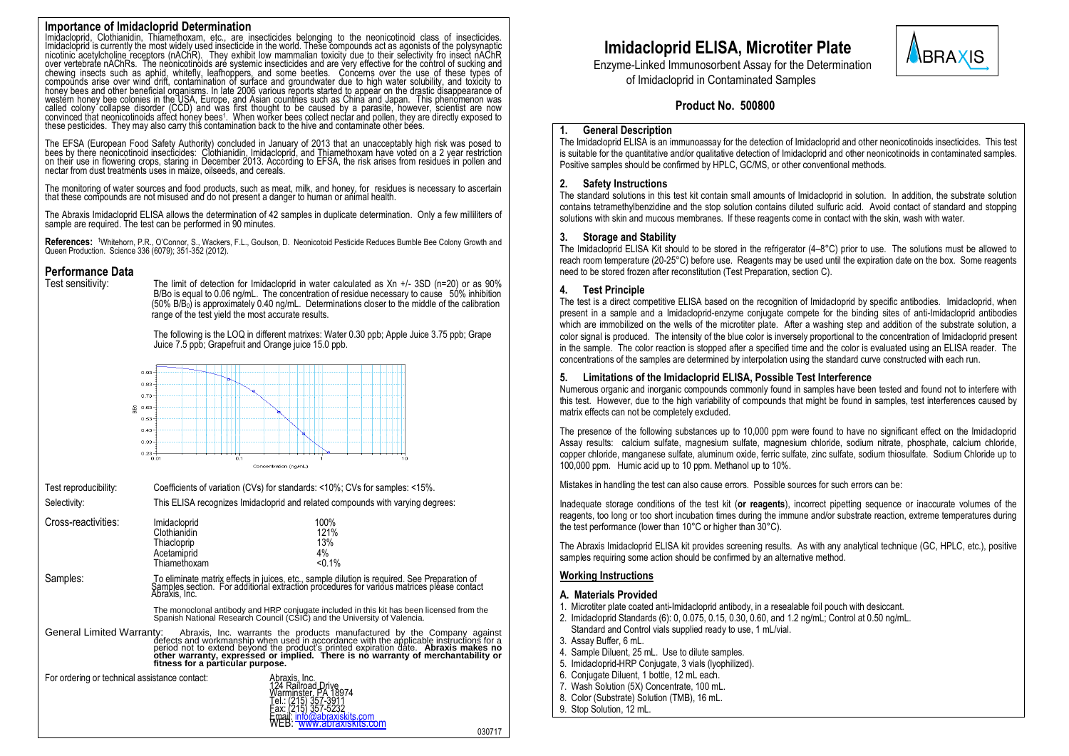# **Importance of Imidacloprid Determination**

Imidacloprid, Clothianidin, Thiamethoxam, etc., are insecticides belonging to the neonicotinoid class of insecticides.<br>Imidacloprid is currently the most widely used insecticide in the world. These compounds act as agonist chewing insects such as aphid, whitefly, leafhoppers, and some beetles. Concerns over the use of these types of<br>compounds arise over wind drift, contamination of surface and groundwater due to high water solubility, and to called colony collapse disorder (CCD) and was first thought to be caused by a parasite, however, scientist are now<br>convinced that neonicotinoids affect honey bees!. When worker bees collect nectar and pollen, they are dire these pesticides. They may also carry this contamination back to the hive and contaminate other bees.

The EFSA (European Food Safety Authority) concluded in January of 2013 that an unacceptably high risk was posed to<br>bees by there neonicotinoid insecticides: Clothianidin, Imidacloprid, and Thiamethoxam have voted on a 2 ye on their use in flowering crops, staring in December 2013. According to EFSA, the risk arises from residues in pollen and nectar from dust treatments uses in maize, oilseeds, and cereals.

The monitoring of water sources and food products, such as meat, milk, and honey, for residues is necessary to ascertain that these compounds are not misused and do not present a danger to human or animal health.

The Abraxis Imidacloprid ELISA allows the determination of 42 samples in duplicate determination. Only a few milliliters of sample are required. The test can be performed in 90 minutes.

**References:** <sup>1</sup>Whitehorn, P.R., O'Connor, S., Wackers, F.L., Goulson, D. Neonicotoid Pesticide Reduces Bumble Bee Colony Growth and Queen Production. Science 336 (6079); 351-352 (2012).

# **Performance Data**<br>Test sensitivity:

The limit of detection for Imidacloprid in water calculated as  $Xn +1$ - 3SD (n=20) or as 90% B/Bo is equal to 0.06 ng/mL. The concentration of residue necessary to cause 50% inhibition  $(50\%$  B/B<sub>0</sub>) is approximately 0.40 ng/mL. Determinations closer to the middle of the calibration range of the test yield the most accurate results.

The following is the LOQ in different matrixes: Water 0.30 ppb; Apple Juice 3.75 ppb; Grape Juice 7.5 ppb; Grapefruit and Orange juice 15.0 ppb.



Test reproducibility: Coefficients of variation (CVs) for standards: <10%; CVs for samples: <15%.

Selectivity: This ELISA recognizes Imidacloprid and related compounds with varying degrees: Cross-reactivities: Imidacloprid 100%<br>Clothianidin 121% 121% Clothianidin 121% 121%<br>Thiacloprip 13% 13% Thiacloprip 13%<br>Acetamiprid 4% Acetamiprid 4%<br>Thiamethoxam <0.1% Thiamethoxam Samples: To eliminate matrix effects in juices, etc., sample dilution is required. See Preparation of<br>Samples section. For additional extraction procedures for various matrices please contact Abraxis, Inc.

The monoclonal antibody and HRP conjugate included in this kit has been licensed from the Spanish National Research Council (CSIC) and the University of Valencia.

General Limited Warranty: Abraxis, Inc. warrants the products manufactured by the Company against<br>defects and workmanship when used in accordance with the applicable instructions for a<br>period not to extend beyond the produ

For ordering or technical assistance contact:



# **Imidacloprid ELISA, Microtiter Plate**

**BRAXIS** Enzyme-Linked Immunosorbent Assay for the Determination

 **Product No. 500800**

of Imidacloprid in Contaminated Samples

# **1. General Description**

The Imidacloprid ELISA is an immunoassay for the detection of Imidacloprid and other neonicotinoids insecticides. This test is suitable for the quantitative and/or qualitative detection of Imidacloprid and other neonicotinoids in contaminated samples. Positive samples should be confirmed by HPLC, GC/MS, or other conventional methods.

# **2. Safety Instructions**

The standard solutions in this test kit contain small amounts of Imidacloprid in solution. In addition, the substrate solution contains tetramethylbenzidine and the stop solution contains diluted sulfuric acid. Avoid contact of standard and stopping solutions with skin and mucous membranes. If these reagents come in contact with the skin, wash with water.

# **3. Storage and Stability**

The Imidacloprid ELISA Kit should to be stored in the refrigerator (4–8°C) prior to use. The solutions must be allowed to reach room temperature (20-25°C) before use. Reagents may be used until the expiration date on the box. Some reagents need to be stored frozen after reconstitution (Test Preparation, section C).

## **4. Test Principle**

The test is a direct competitive ELISA based on the recognition of Imidacloprid by specific antibodies. Imidacloprid, when present in a sample and a Imidacloprid-enzyme conjugate compete for the binding sites of anti-Imidacloprid antibodies which are immobilized on the wells of the microtiter plate. After a washing step and addition of the substrate solution, a color signal is produced. The intensity of the blue color is inversely proportional to the concentration of Imidacloprid present in the sample. The color reaction is stopped after a specified time and the color is evaluated using an ELISA reader. The concentrations of the samples are determined by interpolation using the standard curve constructed with each run.

#### **5. Limitations of the Imidacloprid ELISA, Possible Test Interference**

Numerous organic and inorganic compounds commonly found in samples have been tested and found not to interfere with this test. However, due to the high variability of compounds that might be found in samples, test interferences caused by matrix effects can not be completely excluded.

The presence of the following substances up to 10,000 ppm were found to have no significant effect on the Imidacloprid Assay results: calcium sulfate, magnesium sulfate, magnesium chloride, sodium nitrate, phosphate, calcium chloride, copper chloride, manganese sulfate, aluminum oxide, ferric sulfate, zinc sulfate, sodium thiosulfate. Sodium Chloride up to 100,000 ppm. Humic acid up to 10 ppm. Methanol up to 10%.

Mistakes in handling the test can also cause errors. Possible sources for such errors can be:

Inadequate storage conditions of the test kit (**or reagents**), incorrect pipetting sequence or inaccurate volumes of the reagents, too long or too short incubation times during the immune and/or substrate reaction, extreme temperatures during the test performance (lower than 10°C or higher than 30°C).

The Abraxis Imidacloprid ELISA kit provides screening results. As with any analytical technique (GC, HPLC, etc.), positive samples requiring some action should be confirmed by an alternative method.

# **Working Instructions**

#### **A. Materials Provided**

- 1. Microtiter plate coated anti-Imidacloprid antibody, in a resealable foil pouch with desiccant.
- 2. Imidacloprid Standards (6): 0, 0.075, 0.15, 0.30, 0.60, and 1.2 ng/mL; Control at 0.50 ng/mL. Standard and Control vials supplied ready to use, 1 mL/vial.
- 3. Assay Buffer, 6 mL.
- 4. Sample Diluent, 25 mL. Use to dilute samples.
- 5. Imidacloprid-HRP Conjugate, 3 vials (lyophilized).
- 6. Conjugate Diluent, 1 bottle, 12 mL each.
- 7. Wash Solution (5X) Concentrate, 100 mL.
- 8. Color (Substrate) Solution (TMB), 16 mL
- 9. Stop Solution, 12 mL.

030717